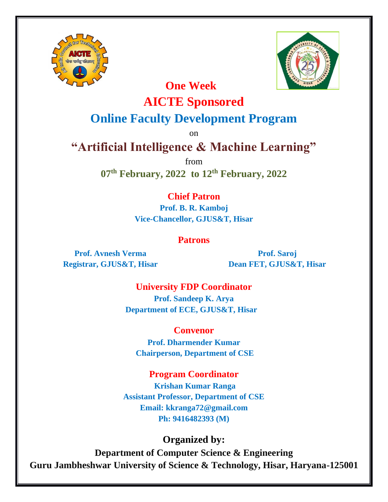



# **One Week AICTE Sponsored**

# **Online Faculty Development Program**

on

# **"Artificial Intelligence & Machine Learning"**

from

**07 th February, 2022 to 12 th February, 2022**

# **Chief Patron**

**Prof. B. R. Kamboj Vice-Chancellor, GJUS&T, Hisar**

## **Patrons**

**Prof. Avnesh Verma Registrar, GJUS&T, Hisar**

**Prof. Saroj Dean FET, GJUS&T, Hisar**

**University FDP Coordinator Prof. Sandeep K. Arya Department of ECE, GJUS&T, Hisar**

**Convenor Prof. Dharmender Kumar Chairperson, Department of CSE**

**Program Coordinator**

**Krishan Kumar Ranga Assistant Professor, Department of CSE Email: [kk](mailto:vinodspec@gjust.org)ranga72@gmail.com Ph: 9416482393 (M)**

## **Organized by:**

**Department of Computer Science & Engineering Guru Jambheshwar University of Science & Technology, Hisar, Haryana-125001**